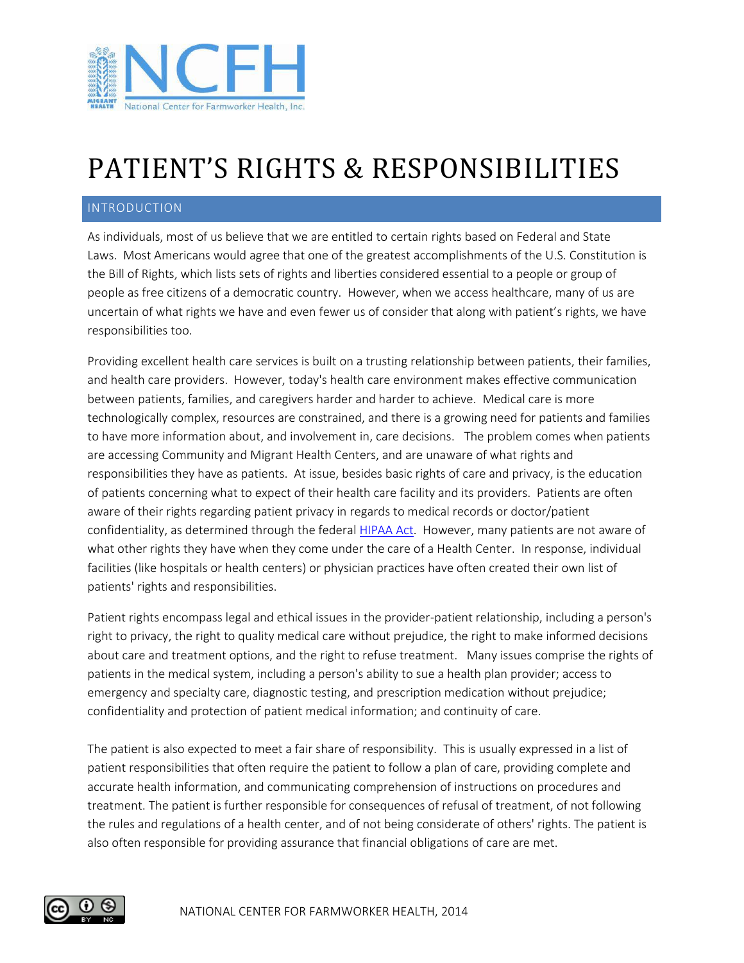

## PATIENT'S RIGHTS & RESPONSIBILITIES

## INTRODUCTION

As individuals, most of us believe that we are entitled to certain rights based on Federal and State Laws. Most Americans would agree that one of the greatest accomplishments of the U.S. Constitution is the Bill of Rights, which lists sets of rights and liberties considered essential to a people or group of people as free citizens of a democratic country. However, when we access healthcare, many of us are uncertain of what rights we have and even fewer us of consider that along with patient's rights, we have responsibilities too.

Providing excellent health care services is built on a trusting relationship between patients, their families, and health care providers. However, today's health care environment makes effective communication between patients, families, and caregivers harder and harder to achieve. Medical care is more technologically complex, resources are constrained, and there is a growing need for patients and families to have more information about, and involvement in, care decisions. The problem comes when patients are accessing Community and Migrant Health Centers, and are unaware of what rights and responsibilities they have as patients. At issue, besides basic rights of care and privacy, is the education of patients concerning what to expect of their health care facility and its providers. Patients are often aware of their rights regarding patient privacy in regards to medical records or doctor/patient confidentiality, as determined through the federal [HIPAA Act.](http://www.hhs.gov/ocr/privacy/hipaa/understanding/index.html) However, many patients are not aware of what other rights they have when they come under the care of a Health Center. In response, individual facilities (like hospitals or health centers) or physician practices have often created their own list of patients' rights and responsibilities.

Patient rights encompass legal and ethical issues in the provider-patient relationship, including a person's right to privacy, the right to quality medical care without prejudice, the right to make informed decisions about care and treatment options, and the right to refuse treatment. Many issues comprise the rights of patients in the medical system, including a person's ability to sue a health plan provider; access to emergency and specialty care, diagnostic testing, and prescription medication without prejudice; confidentiality and protection of patient medical information; and continuity of care.

The patient is also expected to meet a fair share of responsibility. This is usually expressed in a list of patient responsibilities that often require the patient to follow a plan of care, providing complete and accurate health information, and communicating comprehension of instructions on procedures and treatment. The patient is further responsible for consequences of refusal of treatment, of not following the rules and regulations of a health center, and of not being considerate of others' rights. The patient is also often responsible for providing assurance that financial obligations of care are met.